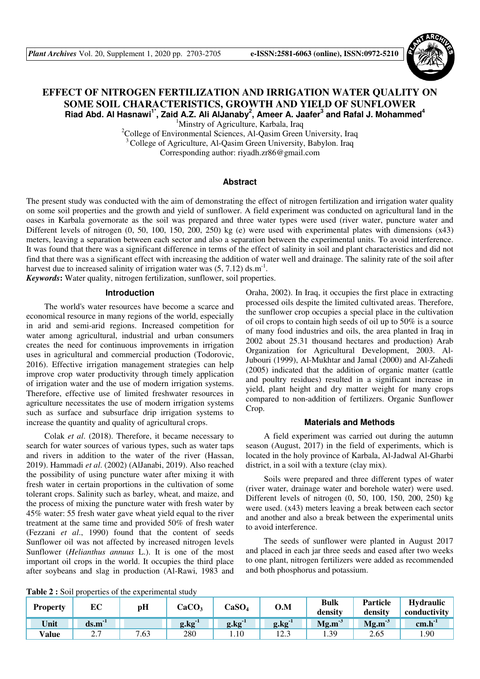

# **EFFECT OF NITROGEN FERTILIZATION AND IRRIGATION WATER QUALITY ON SOME SOIL CHARACTERISTICS, GROWTH AND YIELD OF SUNFLOWER Riad Abd. Al Hasnawi1\*, Zaid A.Z. Ali AlJanaby<sup>2</sup> , Ameer A. Jaafer<sup>3</sup> and Rafal J. Mohammed<sup>4</sup>**

<sup>1</sup>Minstry of Agriculture, Karbala, Iraq

<sup>2</sup>College of Environmental Sciences, Al-Qasim Green University, Iraq <sup>3</sup>College of Agriculture, Al-Qasim Green University, Babylon. Iraq Corresponding author: riyadh.zr86@gmail.com

# **Abstract**

The present study was conducted with the aim of demonstrating the effect of nitrogen fertilization and irrigation water quality on some soil properties and the growth and yield of sunflower. A field experiment was conducted on agricultural land in the oases in Karbala governorate as the soil was prepared and three water types were used (river water, puncture water and Different levels of nitrogen (0, 50, 100, 150, 200, 250) kg (e) were used with experimental plates with dimensions (x43) meters, leaving a separation between each sector and also a separation between the experimental units. To avoid interference. It was found that there was a significant difference in terms of the effect of salinity in soil and plant characteristics and did not find that there was a significant effect with increasing the addition of water well and drainage. The salinity rate of the soil after harvest due to increased salinity of irrigation water was  $(5, 7.12)$  ds.m<sup>-1</sup>.

*Keywords***:** Water quality, nitrogen fertilization, sunflower, soil properties.

### **Introduction**

The world's water resources have become a scarce and economical resource in many regions of the world, especially in arid and semi-arid regions. Increased competition for water among agricultural, industrial and urban consumers creates the need for continuous improvements in irrigation uses in agricultural and commercial production (Todorovic, 2016). Effective irrigation management strategies can help improve crop water productivity through timely application of irrigation water and the use of modern irrigation systems. Therefore, effective use of limited freshwater resources in agriculture necessitates the use of modern irrigation systems such as surface and subsurface drip irrigation systems to increase the quantity and quality of agricultural crops.

Colak *et al*. (2018). Therefore, it became necessary to search for water sources of various types, such as water taps and rivers in addition to the water of the river (Hassan, 2019). Hammadi *et al*. (2002) (AlJanabi, 2019). Also reached the possibility of using puncture water after mixing it with fresh water in certain proportions in the cultivation of some tolerant crops. Salinity such as barley, wheat, and maize, and the process of mixing the puncture water with fresh water by 45% water: 55 fresh water gave wheat yield equal to the river treatment at the same time and provided 50% of fresh water (Fezzani *et al*., 1990) found that the content of seeds Sunflower oil was not affected by increased nitrogen levels Sunflower (*Helianthus annuus* L.). It is one of the most important oil crops in the world. It occupies the third place after soybeans and slag in production (Al-Rawi, 1983 and Oraha, 2002). In Iraq, it occupies the first place in extracting processed oils despite the limited cultivated areas. Therefore, the sunflower crop occupies a special place in the cultivation of oil crops to contain high seeds of oil up to 50% is a source of many food industries and oils, the area planted in Iraq in 2002 about 25.31 thousand hectares and production) Arab Organization for Agricultural Development, 2003. Al-Jubouri (1999), Al-Mukhtar and Jamal (2000) and Al-Zahedi (2005) indicated that the addition of organic matter (cattle and poultry residues) resulted in a significant increase in yield, plant height and dry matter weight for many crops compared to non-addition of fertilizers. Organic Sunflower Crop.

## **Materials and Methods**

A field experiment was carried out during the autumn season (August, 2017) in the field of experiments, which is located in the holy province of Karbala, Al-Jadwal Al-Gharbi district, in a soil with a texture (clay mix).

Soils were prepared and three different types of water (river water, drainage water and borehole water) were used. Different levels of nitrogen (0, 50, 100, 150, 200, 250) kg were used. (x43) meters leaving a break between each sector and another and also a break between the experimental units to avoid interference.

The seeds of sunflower were planted in August 2017 and placed in each jar three seeds and eased after two weeks to one plant, nitrogen fertilizers were added as recommended and both phosphorus and potassium.

**Table 2 :** Soil properties of the experimental study

| <b>Property</b> | EC                   | рH   | CaCO <sub>3</sub> | CaSO <sub>4</sub> | 0.M             | Bulk<br>density | Particle<br>density | <b>Hydraulic</b><br>conductivity |
|-----------------|----------------------|------|-------------------|-------------------|-----------------|-----------------|---------------------|----------------------------------|
| Unit            | $ds.m-1$             |      | $g \cdot kg^{-1}$ | $g$ . $kg^{-1}$   | $g$ . $kg^{-1}$ | $Mg.m-3$        | $Mg.m^{-3}$         | $cm.h^{-1}$                      |
| Value           | $\sim$ $\sim$<br>ن ک | 7.63 | 280               | $1.10^{-1}$       | ن که 1          | 1.39            | 2.65                | .90                              |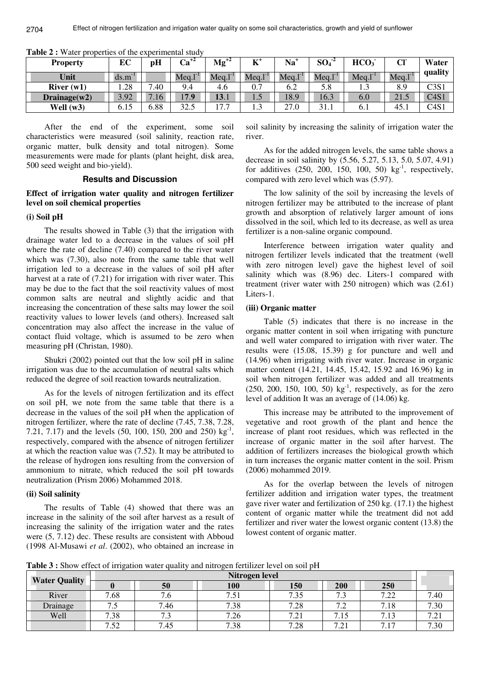| <b>Property</b> | EС   | pH               | $\text{Ca}^{+2}$ | $Mg^{+2}$ | $\mathbf{K}^*$ | Na        | $SO_4^2$    | HCO <sub>3</sub> | CF    | Water   |
|-----------------|------|------------------|------------------|-----------|----------------|-----------|-------------|------------------|-------|---------|
| Unit            | ds.m |                  | Meq.             | Meg.      | Meq.1          | Meq.1     | Meg.1       | Meq.1            | Meg.1 | quality |
| River $(w1)$    | 1.28 | .40              | 9.4              | 4.6       | 0.7            | 6.2       | 5.8         | 1.J              | 8.9   | C3S1    |
| Drainage $(w2)$ | 3.92 | .16 <sup>7</sup> | 70               | 13.1      | 1.J            | 18.9      | 16.3        | 6.0              | 21.5  | C4S1    |
| Well $(w3)$     | 6.15 | 5.88             | 32.5             | 77<br>.   | 1.J            | ົ<br>27.U | 21<br>J 1.1 | O. 1             | 45.1  | C4S1    |

**Table 2 :** Water properties of the experimental study

After the end of the experiment, some soil characteristics were measured (soil salinity, reaction rate, organic matter, bulk density and total nitrogen). Some measurements were made for plants (plant height, disk area, 500 seed weight and bio-yield).

# **Results and Discussion**

## **Effect of irrigation water quality and nitrogen fertilizer level on soil chemical properties**

#### **(i) Soil pH**

2704

The results showed in Table (3) that the irrigation with drainage water led to a decrease in the values of soil pH where the rate of decline (7.40) compared to the river water which was (7.30), also note from the same table that well irrigation led to a decrease in the values of soil pH after harvest at a rate of  $(7.21)$  for irrigation with river water. This may be due to the fact that the soil reactivity values of most common salts are neutral and slightly acidic and that increasing the concentration of these salts may lower the soil reactivity values to lower levels (and others). Increased salt concentration may also affect the increase in the value of contact fluid voltage, which is assumed to be zero when measuring pH (Christan, 1980).

Shukri (2002) pointed out that the low soil pH in saline irrigation was due to the accumulation of neutral salts which reduced the degree of soil reaction towards neutralization.

As for the levels of nitrogen fertilization and its effect on soil pH, we note from the same table that there is a decrease in the values of the soil pH when the application of nitrogen fertilizer, where the rate of decline (7.45, 7.38, 7.28, 7.21, 7.17) and the levels  $(50, 100, 150, 200, 100, 250)$  kg<sup>-1</sup>, respectively, compared with the absence of nitrogen fertilizer at which the reaction value was (7.52). It may be attributed to the release of hydrogen ions resulting from the conversion of ammonium to nitrate, which reduced the soil pH towards neutralization (Prism 2006) Mohammed 2018.

#### **(ii) Soil salinity**

The results of Table (4) showed that there was an increase in the salinity of the soil after harvest as a result of increasing the salinity of the irrigation water and the rates were (5, 7.12) dec. These results are consistent with Abboud (1998 Al-Musawi *et al*. (2002), who obtained an increase in soil salinity by increasing the salinity of irrigation water the river.

As for the added nitrogen levels, the same table shows a decrease in soil salinity by (5.56, 5.27, 5.13, 5.0, 5.07, 4.91) for additives  $(250, 200, 150, 100, 50)$  kg<sup>-1</sup>, respectively, compared with zero level which was (5.97).

The low salinity of the soil by increasing the levels of nitrogen fertilizer may be attributed to the increase of plant growth and absorption of relatively larger amount of ions dissolved in the soil, which led to its decrease, as well as urea fertilizer is a non-saline organic compound.

Interference between irrigation water quality and nitrogen fertilizer levels indicated that the treatment (well with zero nitrogen level) gave the highest level of soil salinity which was (8.96) dec. Liters-1 compared with treatment (river water with 250 nitrogen) which was (2.61) Liters-1.

#### **(iii) Organic matter**

Table (5) indicates that there is no increase in the organic matter content in soil when irrigating with puncture and well water compared to irrigation with river water. The results were (15.08, 15.39) g for puncture and well and (14.96) when irrigating with river water. Increase in organic matter content (14.21, 14.45, 15.42, 15.92 and 16.96) kg in soil when nitrogen fertilizer was added and all treatments  $(250, 200, 150, 100, 50)$  kg<sup>-1</sup>, respectively, as for the zero level of addition It was an average of (14.06) kg.

This increase may be attributed to the improvement of vegetative and root growth of the plant and hence the increase of plant root residues, which was reflected in the increase of organic matter in the soil after harvest. The addition of fertilizers increases the biological growth which in turn increases the organic matter content in the soil. Prism (2006) mohammed 2019.

As for the overlap between the levels of nitrogen fertilizer addition and irrigation water types, the treatment gave river water and fertilization of 250 kg. (17.1) the highest content of organic matter while the treatment did not add fertilizer and river water the lowest organic content (13.8) the lowest content of organic matter.

**Table 3 :** Show effect of irrigation water quality and nitrogen fertilizer level on soil pH

|                      | Nitrogen level                  |            |        |                        |                                  |                                        |           |  |  |
|----------------------|---------------------------------|------------|--------|------------------------|----------------------------------|----------------------------------------|-----------|--|--|
| <b>Water Quality</b> |                                 | 50         | 100    | 150                    | <b>200</b>                       | <b>250</b>                             |           |  |  |
| River                | 7.68                            | 7.6        | –<br>ر | 735                    | − ^<br>$\cdot$                   | 7.22<br>. 44                           | 7.40      |  |  |
| Drainage             | $\overline{ }$<br>$\cdot$       | −<br>.46   | 7.38   | 7.20<br>.40            | $\sim$ $\sim$<br>.               | 7.18                                   | 7.30      |  |  |
| Well                 | 7.38                            | − ∼<br>ر . | 7.26   | $\overline{ }$<br>. 41 | ⇁<br>ر 1 .                       | –<br>$\overline{1}$<br>$^{\prime}$ .13 | ⇁<br>$-1$ |  |  |
|                      | $\overline{ }$<br>50<br>$\cdot$ | −<br>'.45  | 7.38   | 7.00<br>ه∠.'           | $\overline{ }$<br>$\bigcap$<br>. | $\mathbf{r}$<br>$\overline{ }$         | −<br>.30  |  |  |